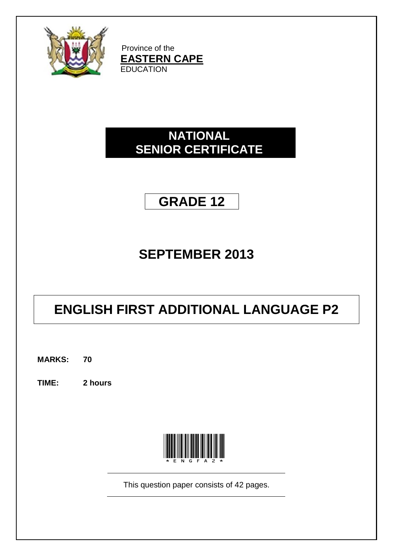

Province of the **EASTERN CAPE EDUCATION** 

# **NATIONAL SENIOR CERTIFICATE**

# **GRADE 12**

# **SEPTEMBER 2013**

# **ENGLISH FIRST ADDITIONAL LANGUAGE P2**

**MARKS: 70**

**TIME: 2 hours**



This question paper consists of 42 pages.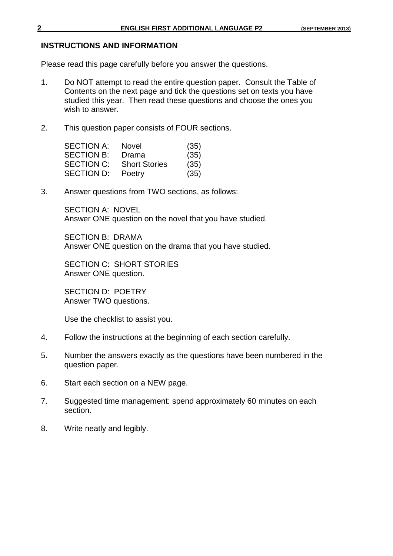#### **INSTRUCTIONS AND INFORMATION**

Please read this page carefully before you answer the questions.

- 1. Do NOT attempt to read the entire question paper. Consult the Table of Contents on the next page and tick the questions set on texts you have studied this year. Then read these questions and choose the ones you wish to answer.
- 2. This question paper consists of FOUR sections.

| <b>SECTION A:</b> | <b>Novel</b>         | (35) |
|-------------------|----------------------|------|
| <b>SECTION B:</b> | Drama                | (35) |
| <b>SECTION C:</b> | <b>Short Stories</b> | (35) |
| <b>SECTION D:</b> | Poetry               | (35) |

3. Answer questions from TWO sections, as follows:

SECTION A: NOVEL Answer ONE question on the novel that you have studied.

SECTION B: DRAMA Answer ONE question on the drama that you have studied.

SECTION C: SHORT STORIES Answer ONE question.

SECTION D: POETRY Answer TWO questions.

Use the checklist to assist you.

- 4. Follow the instructions at the beginning of each section carefully.
- 5. Number the answers exactly as the questions have been numbered in the question paper.
- 6. Start each section on a NEW page.
- 7. Suggested time management: spend approximately 60 minutes on each section.
- 8. Write neatly and legibly.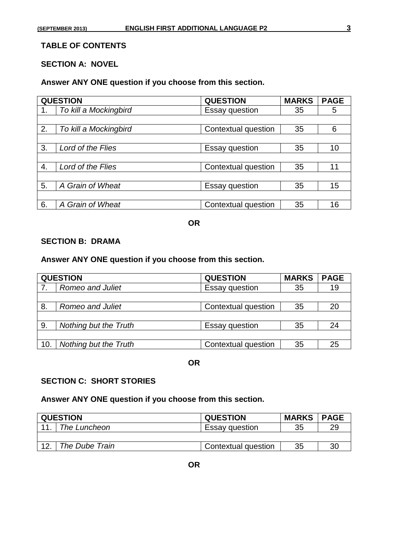# **TABLE OF CONTENTS**

# **SECTION A: NOVEL**

#### **Answer ANY ONE question if you choose from this section.**

|    | <b>QUESTION</b>       | <b>QUESTION</b>       | <b>MARKS</b> | <b>PAGE</b> |
|----|-----------------------|-----------------------|--------------|-------------|
| 1. | To kill a Mockingbird | <b>Essay question</b> | 35           | 5           |
|    |                       |                       |              |             |
| 2. | To kill a Mockingbird | Contextual question   | 35           | 6           |
|    |                       |                       |              |             |
| 3. | Lord of the Flies     | <b>Essay question</b> | 35           | 10          |
|    |                       |                       |              |             |
| 4. | Lord of the Flies     | Contextual question   | 35           | 11          |
|    |                       |                       |              |             |
| 5. | A Grain of Wheat      | Essay question        | 35           | 15          |
|    |                       |                       |              |             |
| 6. | A Grain of Wheat      | Contextual question   | 35           | 16          |

#### **OR**

#### **SECTION B: DRAMA**

### **Answer ANY ONE question if you choose from this section.**

| <b>QUESTION</b><br><b>QUESTION</b> |                       | <b>MARKS</b>          | <b>PAGE</b> |    |
|------------------------------------|-----------------------|-----------------------|-------------|----|
|                                    | Romeo and Juliet      | <b>Essay question</b> | 35          | 19 |
|                                    |                       |                       |             |    |
| 8.                                 | Romeo and Juliet      | Contextual question   | 35          | 20 |
|                                    |                       |                       |             |    |
| 9.                                 | Nothing but the Truth | <b>Essay question</b> | 35          | 24 |
|                                    |                       |                       |             |    |
| 10.                                | Nothing but the Truth | Contextual question   | 35          | 25 |

#### **OR**

#### **SECTION C: SHORT STORIES**

#### **Answer ANY ONE question if you choose from this section.**

| <b>QUESTION</b><br><b>QUESTION</b> |                | <b>MARKS</b>          | <b>PAGE</b> |    |
|------------------------------------|----------------|-----------------------|-------------|----|
|                                    | The Luncheon   | <b>Essay question</b> | 35          | 29 |
|                                    |                |                       |             |    |
|                                    | The Dube Train | Contextual question   | 35          | 30 |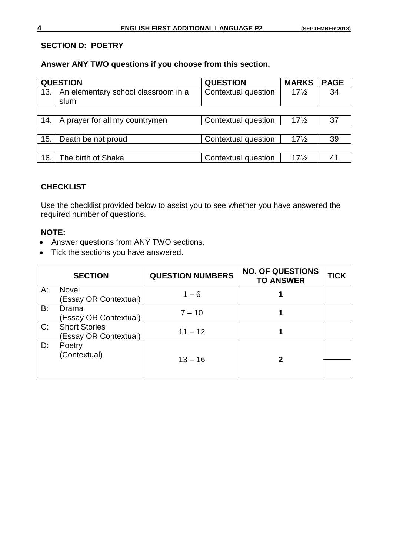#### **SECTION D: POETRY**

**Answer ANY TWO questions if you choose from this section.**

|     | <b>QUESTION</b>                     | <b>QUESTION</b>     | <b>MARKS</b>    | <b>PAGE</b> |
|-----|-------------------------------------|---------------------|-----------------|-------------|
| 13. | An elementary school classroom in a | Contextual question | $17\frac{1}{2}$ | 34          |
|     | slum                                |                     |                 |             |
|     |                                     |                     |                 |             |
| 14. | A prayer for all my countrymen      | Contextual question | $17\frac{1}{2}$ | 37          |
|     |                                     |                     |                 |             |
| 15. | Death be not proud                  | Contextual question | $17\frac{1}{2}$ | 39          |
|     |                                     |                     |                 |             |
| 16. | The birth of Shaka                  | Contextual question | $17\frac{1}{2}$ | 41          |

#### **CHECKLIST**

Use the checklist provided below to assist you to see whether you have answered the required number of questions.

#### **NOTE:**

- Answer questions from ANY TWO sections.
- Tick the sections you have answered.

|    | <b>SECTION</b>                                | <b>QUESTION NUMBERS</b> | <b>NO. OF QUESTIONS</b><br><b>TO ANSWER</b> | TICK |
|----|-----------------------------------------------|-------------------------|---------------------------------------------|------|
| А: | Novel<br>(Essay OR Contextual)                | $1 - 6$                 |                                             |      |
| B: | Drama<br><b>Essay OR Contextual)</b>          | $7 - 10$                |                                             |      |
| C: | <b>Short Stories</b><br>(Essay OR Contextual) | $11 - 12$               |                                             |      |
| D: | Poetry<br>(Contextual)                        | $13 - 16$               | 2                                           |      |
|    |                                               |                         |                                             |      |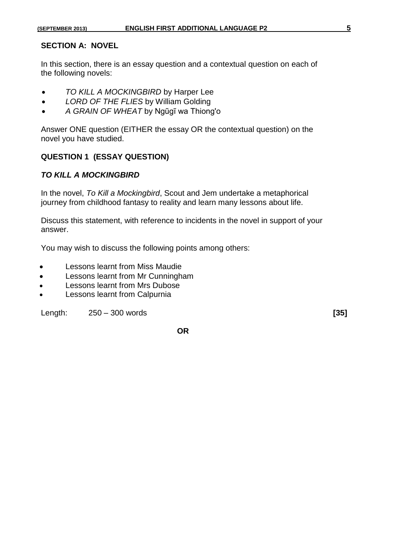#### **SECTION A: NOVEL**

In this section, there is an essay question and a contextual question on each of the following novels:

- *TO KILL A MOCKINGBIRD* by Harper Lee
- *LORD OF THE FLIES* by William Golding
- *A GRAIN OF WHEAT* by Ngũgĩ wa Thiong'o

Answer ONE question (EITHER the essay OR the contextual question) on the novel you have studied.

#### **QUESTION 1 (ESSAY QUESTION)**

#### *TO KILL A MOCKINGBIRD*

In the novel, *To Kill a Mockingbird*, Scout and Jem undertake a metaphorical journey from childhood fantasy to reality and learn many lessons about life.

Discuss this statement, with reference to incidents in the novel in support of your answer.

You may wish to discuss the following points among others:

- Lessons learnt from Miss Maudie
- Lessons learnt from Mr Cunningham
- Lessons learnt from Mrs Dubose
- Lessons learnt from Calpurnia

Length: 250 – 300 words **[35]**

**OR**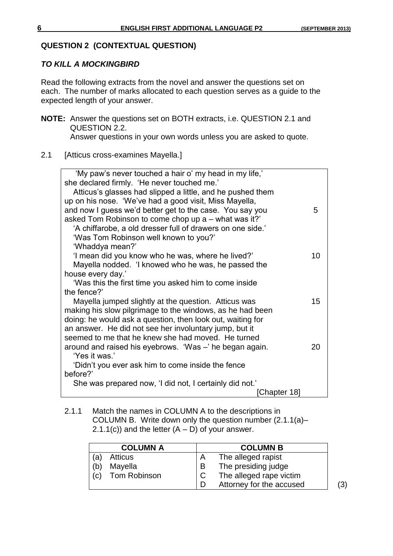#### **QUESTION 2 (CONTEXTUAL QUESTION)**

#### *TO KILL A MOCKINGBIRD*

Read the following extracts from the novel and answer the questions set on each. The number of marks allocated to each question serves as a guide to the expected length of your answer.

- **NOTE:** Answer the questions set on BOTH extracts, i.e. QUESTION 2.1 and QUESTION 2.2. Answer questions in your own words unless you are asked to quote.
- 2.1 [Atticus cross-examines Mayella.]

| 'My paw's never touched a hair o' my head in my life,"<br>she declared firmly. 'He never touched me.' |    |
|-------------------------------------------------------------------------------------------------------|----|
| Atticus's glasses had slipped a little, and he pushed them                                            |    |
| up on his nose. 'We've had a good visit, Miss Mayella,                                                |    |
| and now I guess we'd better get to the case. You say you                                              | 5  |
| asked Tom Robinson to come chop up a - what was it?'                                                  |    |
| 'A chiffarobe, a old dresser full of drawers on one side.'                                            |    |
| 'Was Tom Robinson well known to you?'                                                                 |    |
| 'Whaddya mean?'                                                                                       |    |
| 'I mean did you know who he was, where he lived?'                                                     | 10 |
| Mayella nodded. 'I knowed who he was, he passed the<br>house every day.'                              |    |
| 'Was this the first time you asked him to come inside                                                 |    |
| the fence?'                                                                                           |    |
| Mayella jumped slightly at the question. Atticus was                                                  | 15 |
| making his slow pilgrimage to the windows, as he had been                                             |    |
| doing: he would ask a question, then look out, waiting for                                            |    |
| an answer. He did not see her involuntary jump, but it                                                |    |
| seemed to me that he knew she had moved. He turned                                                    |    |
| around and raised his eyebrows. 'Was -' he began again.                                               | 20 |
| 'Yes it was.'                                                                                         |    |
| 'Didn't you ever ask him to come inside the fence                                                     |    |
| before?'                                                                                              |    |
| She was prepared now, 'I did not, I certainly did not.'                                               |    |
| Chapter 18]                                                                                           |    |

#### 2.1.1 Match the names in COLUMN A to the descriptions in COLUMN B. Write down only the question number (2.1.1(a)–  $2.1.1(c)$ ) and the letter  $(A - D)$  of your answer.

|     | <b>COLUMN A</b> |   | <b>COLUMN B</b>          |
|-----|-----------------|---|--------------------------|
| (a) | <b>Atticus</b>  |   | The alleged rapist       |
| (b) | Mayella         | B | The presiding judge      |
| (c) | Tom Robinson    |   | The alleged rape victim  |
|     |                 |   | Attorney for the accused |

(3)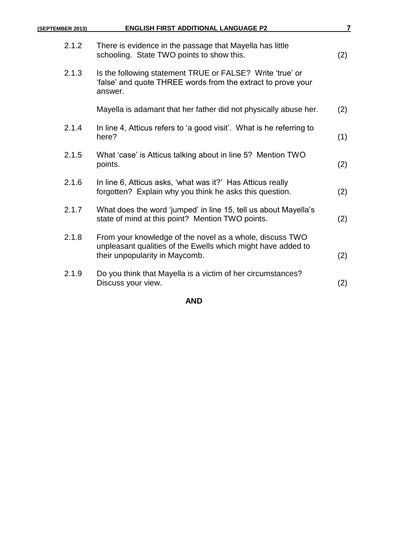| (SEPTEMBER 2013) | <b>ENGLISH FIRST ADDITIONAL LANGUAGE P2</b>                                                                                                                | 7   |
|------------------|------------------------------------------------------------------------------------------------------------------------------------------------------------|-----|
| 2.1.2            | There is evidence in the passage that Mayella has little<br>schooling. State TWO points to show this.                                                      | (2) |
| 2.1.3            | Is the following statement TRUE or FALSE? Write 'true' or<br>'false' and quote THREE words from the extract to prove your<br>answer.                       |     |
|                  | Mayella is adamant that her father did not physically abuse her.                                                                                           | (2) |
| 2.1.4            | In line 4, Atticus refers to 'a good visit'. What is he referring to<br>here?                                                                              | (1) |
| 2.1.5            | What 'case' is Atticus talking about in line 5? Mention TWO<br>points.                                                                                     | (2) |
| 2.1.6            | In line 6, Atticus asks, 'what was it?' Has Atticus really<br>forgotten? Explain why you think he asks this question.                                      | (2) |
| 2.1.7            | What does the word 'jumped' in line 15, tell us about Mayella's<br>state of mind at this point? Mention TWO points.                                        | (2) |
| 2.1.8            | From your knowledge of the novel as a whole, discuss TWO<br>unpleasant qualities of the Ewells which might have added to<br>their unpopularity in Maycomb. | (2) |
| 2.1.9            | Do you think that Mayella is a victim of her circumstances?<br>Discuss your view.                                                                          | (2) |
|                  |                                                                                                                                                            |     |

### **AND**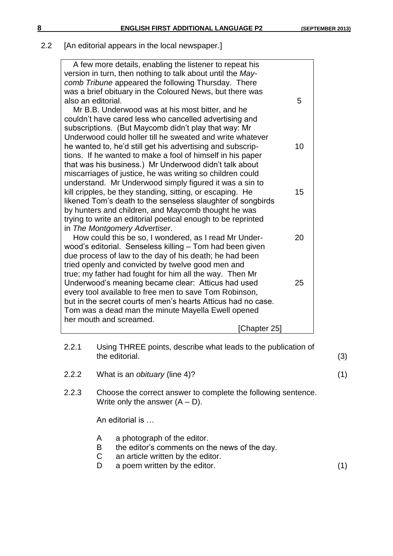# 2.2 [An editorial appears in the local newspaper.]

| A few more details, enabling the listener to repeat his                |    |
|------------------------------------------------------------------------|----|
| version in turn, then nothing to talk about until the May-             |    |
| comb Tribune appeared the following Thursday. There                    |    |
| was a brief obituary in the Coloured News, but there was               |    |
| also an editorial.                                                     | 5  |
| Mr B.B. Underwood was at his most bitter, and he                       |    |
| couldn't have cared less who cancelled advertising and                 |    |
| subscriptions. (But Maycomb didn't play that way: Mr                   |    |
| Underwood could holler till he sweated and write whatever              |    |
| he wanted to, he'd still get his advertising and subscrip-             | 10 |
| tions. If he wanted to make a fool of himself in his paper             |    |
| that was his business.) Mr Underwood didn't talk about                 |    |
| miscarriages of justice, he was writing so children could              |    |
| understand. Mr Underwood simply figured it was a sin to                |    |
| kill cripples, be they standing, sitting, or escaping. He              | 15 |
| likened Tom's death to the senseless slaughter of songbirds            |    |
| by hunters and children, and Maycomb thought he was                    |    |
| trying to write an editorial poetical enough to be reprinted           |    |
| in The Montgomery Advertiser.                                          |    |
| How could this be so, I wondered, as I read Mr Under-                  | 20 |
| wood's editorial. Senseless killing - Tom had been given               |    |
| due process of law to the day of his death; he had been                |    |
| tried openly and convicted by twelve good men and                      |    |
| true; my father had fought for him all the way. Then Mr                |    |
| Underwood's meaning became clear: Atticus had used                     | 25 |
| every tool available to free men to save Tom Robinson,                 |    |
| but in the secret courts of men's hearts Atticus had no case.          |    |
| Tom was a dead man the minute Mayella Ewell opened                     |    |
| her mouth and screamed.                                                |    |
| [Chapter 25]                                                           |    |
|                                                                        |    |
| 2.2.1<br>Using THREE points, describe what leads to the publication of |    |

- the editorial. (3)
- 2.2.2 What is an *obituary* (line 4)? (1)
- 2.2.3 Choose the correct answer to complete the following sentence. Write only the answer  $(A - D)$ .

An editorial is …

- A a photograph of the editor.
- B the editor's comments on the news of the day.
- C an article written by the editor.
- D a poem written by the editor. (1)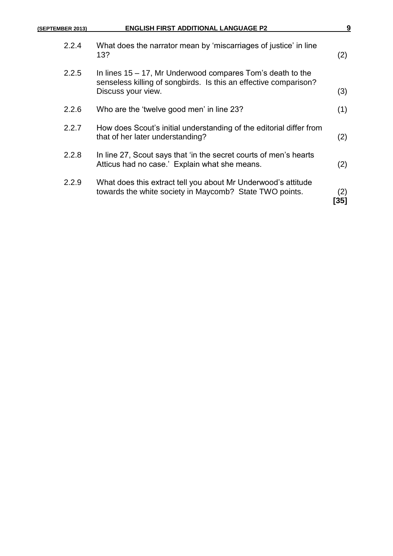| (SEPTEMBER 2013) | <b>ENGLISH FIRST ADDITIONAL LANGUAGE P2</b>                                                                                                             | 9           |
|------------------|---------------------------------------------------------------------------------------------------------------------------------------------------------|-------------|
| 2.2.4            | What does the narrator mean by 'miscarriages of justice' in line<br>13?                                                                                 | (2)         |
| 2.2.5            | In lines $15 - 17$ , Mr Underwood compares Tom's death to the<br>senseless killing of songbirds. Is this an effective comparison?<br>Discuss your view. | (3)         |
| 2.2.6            | Who are the 'twelve good men' in line 23?                                                                                                               | (1)         |
| 2.2.7            | How does Scout's initial understanding of the editorial differ from<br>that of her later understanding?                                                 | (2)         |
| 2.2.8            | In line 27, Scout says that 'in the secret courts of men's hearts<br>Atticus had no case.' Explain what she means.                                      | (2)         |
| 2.2.9            | What does this extract tell you about Mr Underwood's attitude<br>towards the white society in Maycomb? State TWO points.                                | (2)<br>[35] |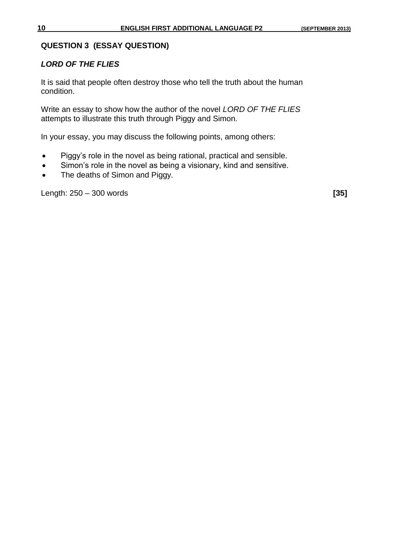#### **QUESTION 3 (ESSAY QUESTION)**

#### *LORD OF THE FLIES*

It is said that people often destroy those who tell the truth about the human condition.

Write an essay to show how the author of the novel *LORD OF THE FLIES* attempts to illustrate this truth through Piggy and Simon.

In your essay, you may discuss the following points, among others:

- Piggy's role in the novel as being rational, practical and sensible.
- Simon's role in the novel as being a visionary, kind and sensitive.
- The deaths of Simon and Piggy.

Length: 250 – 300 words **[35]**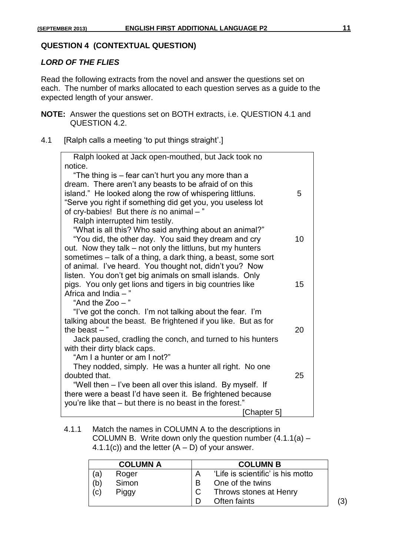#### **QUESTION 4 (CONTEXTUAL QUESTION)**

#### *LORD OF THE FLIES*

Read the following extracts from the novel and answer the questions set on each. The number of marks allocated to each question serves as a guide to the expected length of your answer.

- **NOTE:** Answer the questions set on BOTH extracts, i.e. QUESTION 4.1 and QUESTION 4.2.
- 4.1 [Ralph calls a meeting 'to put things straight'.]

| Ralph looked at Jack open-mouthed, but Jack took no                                 |    |
|-------------------------------------------------------------------------------------|----|
| notice.                                                                             |    |
| "The thing is – fear can't hurt you any more than a                                 |    |
| dream. There aren't any beasts to be afraid of on this                              |    |
| island." He looked along the row of whispering littluns.                            | 5  |
| "Serve you right if something did get you, you useless lot                          |    |
| of cry-babies! But there is no animal -"                                            |    |
| Ralph interrupted him testily.                                                      |    |
| "What is all this? Who said anything about an animal?"                              |    |
| "You did, the other day. You said they dream and cry                                | 10 |
| out. Now they talk – not only the littluns, but my hunters                          |    |
| sometimes – talk of a thing, a dark thing, a beast, some sort                       |    |
| of animal. I've heard. You thought not, didn't you? Now                             |    |
| listen. You don't get big animals on small islands. Only                            | 15 |
| pigs. You only get lions and tigers in big countries like<br>Africa and India $-$ " |    |
| "And the $Zoo -$ "                                                                  |    |
| "I've got the conch. I'm not talking about the fear. I'm                            |    |
| talking about the beast. Be frightened if you like. But as for                      |    |
| the beast $-$ "                                                                     | 20 |
| Jack paused, cradling the conch, and turned to his hunters                          |    |
| with their dirty black caps.                                                        |    |
| "Am I a hunter or am I not?"                                                        |    |
| They nodded, simply. He was a hunter all right. No one                              |    |
| doubted that.                                                                       | 25 |
| "Well then – I've been all over this island. By myself. If                          |    |
| there were a beast I'd have seen it. Be frightened because                          |    |
| you're like that – but there is no beast in the forest."                            |    |
| [Chapter 5]                                                                         |    |

4.1.1 Match the names in COLUMN A to the descriptions in COLUMN B. Write down only the question number  $(4.1.1(a) -$ 4.1.1(c)) and the letter  $(A - D)$  of your answer.

|     | <b>COLUMN A</b> |   | <b>COLUMN B</b>                   |
|-----|-----------------|---|-----------------------------------|
| (a) | Roger           |   | 'Life is scientific' is his motto |
| (b) | Simon           | B | One of the twins                  |
| (c) | Piggy           |   | Throws stones at Henry            |
|     |                 |   | Often faints                      |

(3)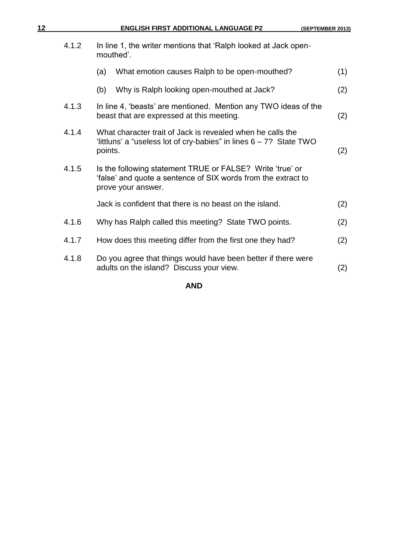| 12 |       | <b>ENGLISH FIRST ADDITIONAL LANGUAGE P2</b>                                                                                                      | (SEPTEMBER 2013) |  |
|----|-------|--------------------------------------------------------------------------------------------------------------------------------------------------|------------------|--|
|    | 4.1.2 | In line 1, the writer mentions that 'Ralph looked at Jack open-<br>mouthed'.                                                                     |                  |  |
|    |       | What emotion causes Ralph to be open-mouthed?<br>(a)                                                                                             | (1)              |  |
|    |       | Why is Ralph looking open-mouthed at Jack?<br>(b)                                                                                                | (2)              |  |
|    | 4.1.3 | In line 4, 'beasts' are mentioned. Mention any TWO ideas of the<br>beast that are expressed at this meeting.                                     | (2)              |  |
|    | 4.1.4 | What character trait of Jack is revealed when he calls the<br>'littluns' a "useless lot of cry-babies" in lines $6 - 7$ ? State TWO<br>points.   | (2)              |  |
|    | 4.1.5 | Is the following statement TRUE or FALSE? Write 'true' or<br>'false' and quote a sentence of SIX words from the extract to<br>prove your answer. |                  |  |
|    |       | Jack is confident that there is no beast on the island.                                                                                          | (2)              |  |
|    | 4.1.6 | Why has Ralph called this meeting? State TWO points.                                                                                             | (2)              |  |
|    | 4.1.7 | How does this meeting differ from the first one they had?                                                                                        | (2)              |  |
|    | 4.1.8 | Do you agree that things would have been better if there were<br>adults on the island? Discuss your view.                                        | (2)              |  |
|    |       |                                                                                                                                                  |                  |  |

**AND**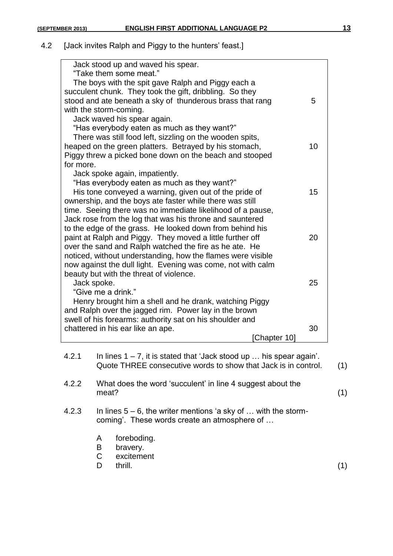#### 4.2 [Jack invites Ralph and Piggy to the hunters' feast.]

| Jack stood up and waved his spear.                          |    |
|-------------------------------------------------------------|----|
| "Take them some meat."                                      |    |
| The boys with the spit gave Ralph and Piggy each a          |    |
| succulent chunk. They took the gift, dribbling. So they     |    |
| stood and ate beneath a sky of thunderous brass that rang   | 5  |
| with the storm-coming.                                      |    |
| Jack waved his spear again.                                 |    |
| "Has everybody eaten as much as they want?"                 |    |
| There was still food left, sizzling on the wooden spits,    |    |
| heaped on the green platters. Betrayed by his stomach,      | 10 |
| Piggy threw a picked bone down on the beach and stooped     |    |
| for more.                                                   |    |
| Jack spoke again, impatiently.                              |    |
| "Has everybody eaten as much as they want?"                 |    |
| His tone conveyed a warning, given out of the pride of      | 15 |
| ownership, and the boys ate faster while there was still    |    |
| time. Seeing there was no immediate likelihood of a pause,  |    |
| Jack rose from the log that was his throne and sauntered    |    |
| to the edge of the grass. He looked down from behind his    |    |
| paint at Ralph and Piggy. They moved a little further off   | 20 |
| over the sand and Ralph watched the fire as he ate. He      |    |
| noticed, without understanding, how the flames were visible |    |
| now against the dull light. Evening was come, not with calm |    |
| beauty but with the threat of violence.                     |    |
| Jack spoke.                                                 | 25 |
| "Give me a drink."                                          |    |
| Henry brought him a shell and he drank, watching Piggy      |    |
| and Ralph over the jagged rim. Power lay in the brown       |    |
| swell of his forearms: authority sat on his shoulder and    |    |
| chattered in his ear like an ape.                           | 30 |
| [Chapter 10]                                                |    |
|                                                             |    |

- 4.2.1 In lines  $1 7$ , it is stated that 'Jack stood up ... his spear again'. Quote THREE consecutive words to show that Jack is in control. (1)
- 4.2.2 What does the word 'succulent' in line 4 suggest about the  $meat?$  (1)
- 4.2.3 In lines 5 6, the writer mentions 'a sky of … with the stormcoming'. These words create an atmosphere of …
	- A foreboding.
	- B bravery.
	- C excitement
	- D thrill. (1)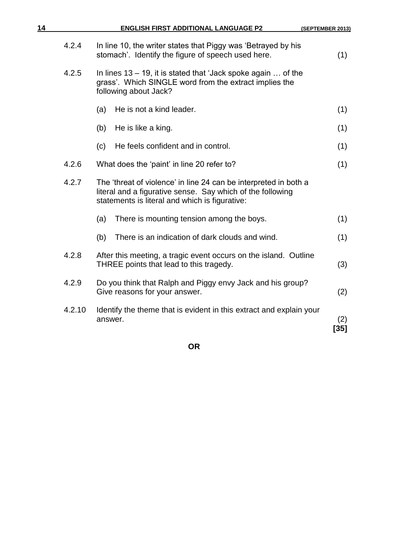| 14     | <b>ENGLISH FIRST ADDITIONAL LANGUAGE P2</b><br>(SEPTEMBER 2013)                                                                                                                  |               |
|--------|----------------------------------------------------------------------------------------------------------------------------------------------------------------------------------|---------------|
| 4.2.4  | In line 10, the writer states that Piggy was 'Betrayed by his<br>stomach'. Identify the figure of speech used here.                                                              | (1)           |
| 4.2.5  | In lines $13 - 19$ , it is stated that 'Jack spoke again  of the<br>grass'. Which SINGLE word from the extract implies the<br>following about Jack?                              |               |
|        | He is not a kind leader.<br>(a)                                                                                                                                                  | (1)           |
|        | (b)<br>He is like a king.                                                                                                                                                        | (1)           |
|        | He feels confident and in control.<br>(c)                                                                                                                                        | (1)           |
| 4.2.6  | What does the 'paint' in line 20 refer to?                                                                                                                                       | (1)           |
| 4.2.7  | The 'threat of violence' in line 24 can be interpreted in both a<br>literal and a figurative sense. Say which of the following<br>statements is literal and which is figurative: |               |
|        | There is mounting tension among the boys.<br>(a)                                                                                                                                 | (1)           |
|        | There is an indication of dark clouds and wind.<br>(b)                                                                                                                           | (1)           |
| 4.2.8  | After this meeting, a tragic event occurs on the island. Outline<br>THREE points that lead to this tragedy.                                                                      | (3)           |
| 4.2.9  | Do you think that Ralph and Piggy envy Jack and his group?<br>Give reasons for your answer.                                                                                      | (2)           |
| 4.2.10 | Identify the theme that is evident in this extract and explain your<br>answer.                                                                                                   | (2)<br>$[35]$ |

**OR**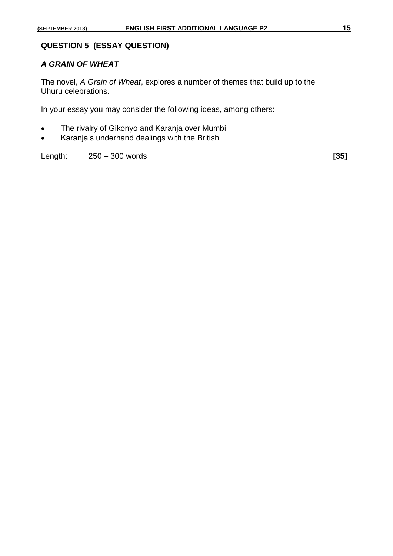#### **QUESTION 5 (ESSAY QUESTION)**

#### *A GRAIN OF WHEAT*

The novel, *A Grain of Wheat*, explores a number of themes that build up to the Uhuru celebrations.

In your essay you may consider the following ideas, among others:

- The rivalry of Gikonyo and Karanja over Mumbi
- Karanja's underhand dealings with the British

Length: 250 – 300 words **[35]**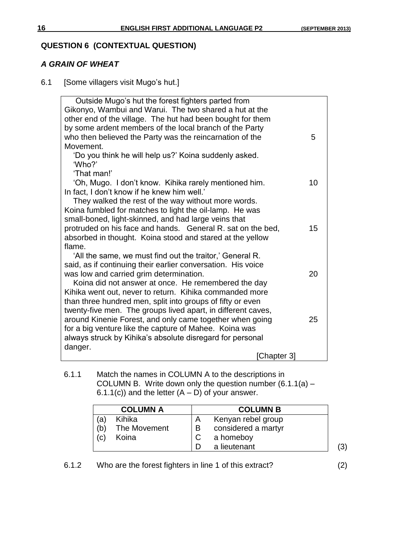# **QUESTION 6 (CONTEXTUAL QUESTION)**

#### *A GRAIN OF WHEAT*

6.1 [Some villagers visit Mugo's hut.]

| Outside Mugo's hut the forest fighters parted from<br>Gikonyo, Wambui and Warui. The two shared a hut at the<br>other end of the village. The hut had been bought for them<br>by some ardent members of the local branch of the Party |    |
|---------------------------------------------------------------------------------------------------------------------------------------------------------------------------------------------------------------------------------------|----|
| who then believed the Party was the reincarnation of the                                                                                                                                                                              | 5  |
| Movement.                                                                                                                                                                                                                             |    |
| 'Do you think he will help us?' Koina suddenly asked.                                                                                                                                                                                 |    |
| 'Who?'                                                                                                                                                                                                                                |    |
| 'That man!'                                                                                                                                                                                                                           |    |
| 'Oh, Mugo. I don't know. Kihika rarely mentioned him.                                                                                                                                                                                 | 10 |
| In fact, I don't know if he knew him well.'                                                                                                                                                                                           |    |
| They walked the rest of the way without more words.<br>Koina fumbled for matches to light the oil-lamp. He was                                                                                                                        |    |
| small-boned, light-skinned, and had large veins that                                                                                                                                                                                  |    |
| protruded on his face and hands. General R. sat on the bed,                                                                                                                                                                           | 15 |
| absorbed in thought. Koina stood and stared at the yellow                                                                                                                                                                             |    |
| flame.                                                                                                                                                                                                                                |    |
| 'All the same, we must find out the traitor,' General R.                                                                                                                                                                              |    |
| said, as if continuing their earlier conversation. His voice                                                                                                                                                                          |    |
| was low and carried grim determination.                                                                                                                                                                                               | 20 |
| Koina did not answer at once. He remembered the day                                                                                                                                                                                   |    |
| Kihika went out, never to return. Kihika commanded more                                                                                                                                                                               |    |
| than three hundred men, split into groups of fifty or even                                                                                                                                                                            |    |
| twenty-five men. The groups lived apart, in different caves,                                                                                                                                                                          |    |
| around Kinenie Forest, and only came together when going<br>for a big venture like the capture of Mahee. Koina was                                                                                                                    | 25 |
| always struck by Kihika's absolute disregard for personal                                                                                                                                                                             |    |
| danger.                                                                                                                                                                                                                               |    |
| [Chapter 3]                                                                                                                                                                                                                           |    |

6.1.1 Match the names in COLUMN A to the descriptions in COLUMN B. Write down only the question number  $(6.1.1(a) -$ 6.1.1(c)) and the letter  $(A - D)$  of your answer.

|     | <b>COLUMN A</b> |   | <b>COLUMN B</b>     |  |
|-----|-----------------|---|---------------------|--|
| (a) | Kihika          |   | Kenyan rebel group  |  |
| (b) | The Movement    | B | considered a martyr |  |
| (c) | Koina           |   | a homeboy           |  |
|     |                 |   | a lieutenant        |  |

6.1.2 Who are the forest fighters in line 1 of this extract? (2)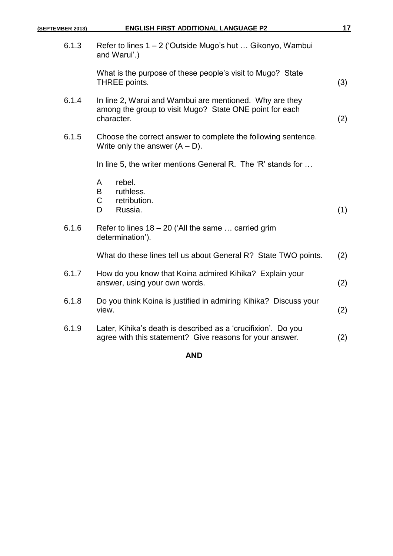| (SEPTEMBER 2013) | <b>ENGLISH FIRST ADDITIONAL LANGUAGE P2</b>                                                                                      | 17  |
|------------------|----------------------------------------------------------------------------------------------------------------------------------|-----|
| 6.1.3            | Refer to lines $1 - 2$ ('Outside Mugo's hut  Gikonyo, Wambui<br>and Warui'.)                                                     |     |
|                  | What is the purpose of these people's visit to Mugo? State<br>THREE points.                                                      | (3) |
| 6.1.4            | In line 2, Warui and Wambui are mentioned. Why are they<br>among the group to visit Mugo? State ONE point for each<br>character. | (2) |
| 6.1.5            | Choose the correct answer to complete the following sentence.<br>Write only the answer $(A - D)$ .                               |     |
|                  | In line 5, the writer mentions General R. The 'R' stands for                                                                     |     |
|                  | rebel.<br>A<br>B<br>ruthless.<br>$\mathsf{C}$<br>retribution.<br>Russia.<br>D                                                    | (1) |
| 6.1.6            | Refer to lines $18 - 20$ ('All the same  carried grim<br>determination').                                                        |     |
|                  | What do these lines tell us about General R? State TWO points.                                                                   | (2) |
| 6.1.7            | How do you know that Koina admired Kihika? Explain your<br>answer, using your own words.                                         | (2) |
| 6.1.8            | Do you think Koina is justified in admiring Kihika? Discuss your<br>view.                                                        | (2) |
| 6.1.9            | Later, Kihika's death is described as a 'crucifixion'. Do you<br>agree with this statement? Give reasons for your answer.        | (2) |
|                  |                                                                                                                                  |     |

# **AND**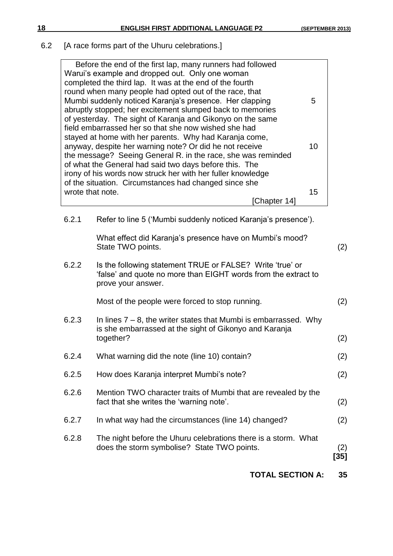6.2 [A race forms part of the Uhuru celebrations.]

| Before the end of the first lap, many runners had followed   |    |
|--------------------------------------------------------------|----|
| Warui's example and dropped out. Only one woman              |    |
|                                                              |    |
| completed the third lap. It was at the end of the fourth     |    |
| round when many people had opted out of the race, that       |    |
| Mumbi suddenly noticed Karanja's presence. Her clapping      | 5  |
| abruptly stopped; her excitement slumped back to memories    |    |
| of yesterday. The sight of Karanja and Gikonyo on the same   |    |
| field embarrassed her so that she now wished she had         |    |
| stayed at home with her parents. Why had Karanja come,       |    |
| anyway, despite her warning note? Or did he not receive      | 10 |
|                                                              |    |
| the message? Seeing General R. in the race, she was reminded |    |
| of what the General had said two days before this. The       |    |
| irony of his words now struck her with her fuller knowledge  |    |
| of the situation. Circumstances had changed since she        |    |
| wrote that note.                                             | 15 |
| [Chapter 14]                                                 |    |
|                                                              |    |

6.2.1 Refer to line 5 ('Mumbi suddenly noticed Karanja's presence').

What effect did Karanja's presence have on Mumbi's mood? State TWO points. (2)

6.2.2 Is the following statement TRUE or FALSE? Write 'true' or 'false' and quote no more than EIGHT words from the extract to prove your answer.

Most of the people were forced to stop running. (2)

- 6.2.3 In lines  $7 8$ , the writer states that Mumbi is embarrassed. Why is she embarrassed at the sight of Gikonyo and Karanja together? (2)
- 6.2.4 What warning did the note (line 10) contain? (2) 6.2.5 How does Karanja interpret Mumbi's note? (2) 6.2.6 Mention TWO character traits of Mumbi that are revealed by the fact that she writes the 'warning note'. (2)
- 6.2.7 In what way had the circumstances (line 14) changed? (2)
- 6.2.8 The night before the Uhuru celebrations there is a storm. What does the storm symbolise? State TWO points. (2)

**[35]**

**TOTAL SECTION A: 35**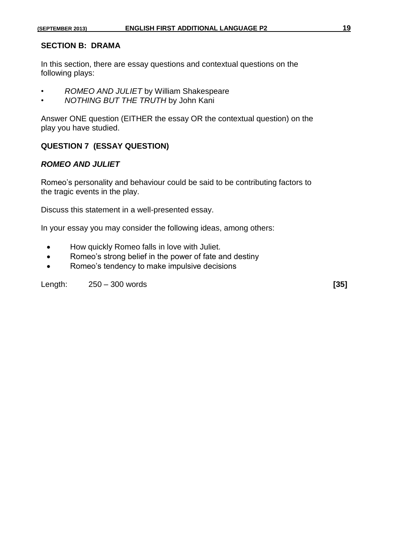#### **SECTION B: DRAMA**

In this section, there are essay questions and contextual questions on the following plays:

- *ROMEO AND JULIET* by William Shakespeare
- *NOTHING BUT THE TRUTH* by John Kani

Answer ONE question (EITHER the essay OR the contextual question) on the play you have studied.

#### **QUESTION 7 (ESSAY QUESTION)**

#### *ROMEO AND JULIET*

Romeo's personality and behaviour could be said to be contributing factors to the tragic events in the play.

Discuss this statement in a well-presented essay.

In your essay you may consider the following ideas, among others:

- How quickly Romeo falls in love with Juliet.
- Romeo's strong belief in the power of fate and destiny
- Romeo's tendency to make impulsive decisions

Length: 250 – 300 words **[35]**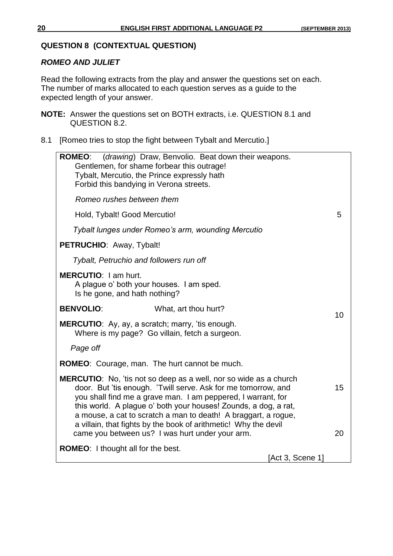#### **QUESTION 8 (CONTEXTUAL QUESTION)**

#### *ROMEO AND JULIET*

Read the following extracts from the play and answer the questions set on each. The number of marks allocated to each question serves as a guide to the expected length of your answer.

- **NOTE:** Answer the questions set on BOTH extracts, i.e. QUESTION 8.1 and QUESTION 8.2.
- 8.1 [Romeo tries to stop the fight between Tybalt and Mercutio.]

| <b>ROMEO:</b> (drawing) Draw, Benvolio. Beat down their weapons.<br>Gentlemen, for shame forbear this outrage!<br>Tybalt, Mercutio, the Prince expressly hath<br>Forbid this bandying in Verona streets.                                                                                                                                                                                                          |    |
|-------------------------------------------------------------------------------------------------------------------------------------------------------------------------------------------------------------------------------------------------------------------------------------------------------------------------------------------------------------------------------------------------------------------|----|
| Romeo rushes between them                                                                                                                                                                                                                                                                                                                                                                                         |    |
| Hold, Tybalt! Good Mercutio!                                                                                                                                                                                                                                                                                                                                                                                      | 5  |
| Tybalt lunges under Romeo's arm, wounding Mercutio                                                                                                                                                                                                                                                                                                                                                                |    |
| PETRUCHIO: Away, Tybalt!                                                                                                                                                                                                                                                                                                                                                                                          |    |
| Tybalt, Petruchio and followers run off                                                                                                                                                                                                                                                                                                                                                                           |    |
| <b>MERCUTIO:</b> I am hurt.<br>A plague o' both your houses. I am sped.<br>Is he gone, and hath nothing?                                                                                                                                                                                                                                                                                                          |    |
| <b>BENVOLIO:</b><br>What, art thou hurt?                                                                                                                                                                                                                                                                                                                                                                          | 10 |
| <b>MERCUTIO:</b> Ay, ay, a scratch; marry, 'tis enough.<br>Where is my page? Go villain, fetch a surgeon.                                                                                                                                                                                                                                                                                                         |    |
| Page off                                                                                                                                                                                                                                                                                                                                                                                                          |    |
| <b>ROMEO:</b> Courage, man. The hurt cannot be much.                                                                                                                                                                                                                                                                                                                                                              |    |
| <b>MERCUTIO:</b> No, 'tis not so deep as a well, nor so wide as a church<br>door. But 'tis enough. 'Twill serve. Ask for me tomorrow, and<br>you shall find me a grave man. I am peppered, I warrant, for<br>this world. A plague o' both your houses! Zounds, a dog, a rat,<br>a mouse, a cat to scratch a man to death! A braggart, a rogue,<br>a villain, that fights by the book of arithmetic! Why the devil | 15 |
| came you between us? I was hurt under your arm.                                                                                                                                                                                                                                                                                                                                                                   | 20 |
| <b>ROMEO:</b> I thought all for the best.<br>[Act 3, Scene 1]                                                                                                                                                                                                                                                                                                                                                     |    |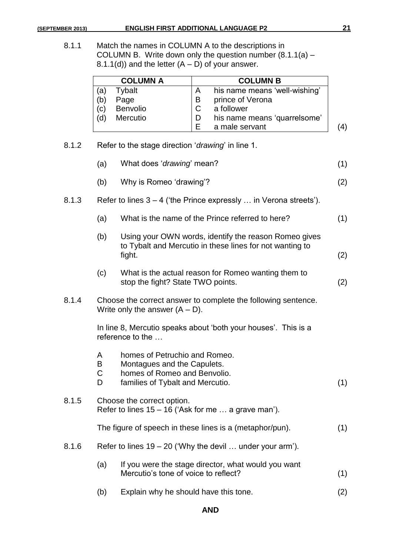|     | <b>COLUMN A</b> |   | <b>COLUMN B</b>               |              |
|-----|-----------------|---|-------------------------------|--------------|
| (a) | Tybalt          | А | his name means 'well-wishing' |              |
| (b) | Page            | В | prince of Verona              |              |
| (c) | Benvolio        |   | a follower                    |              |
| (d) | Mercutio        |   | his name means 'quarrelsome'  |              |
|     |                 |   | a male servant                | $\mathbf{A}$ |

8.1.2 Refer to the stage direction '*drawing*' in line 1.

|       | (a)                         | What does 'drawing' mean?                                                                                                        | (1) |
|-------|-----------------------------|----------------------------------------------------------------------------------------------------------------------------------|-----|
|       | (b)                         | Why is Romeo 'drawing'?                                                                                                          | (2) |
| 8.1.3 |                             | Refer to lines $3 - 4$ ('the Prince expressly  in Verona streets').                                                              |     |
|       | (a)                         | What is the name of the Prince referred to here?                                                                                 | (1) |
|       | (b)                         | Using your OWN words, identify the reason Romeo gives<br>to Tybalt and Mercutio in these lines for not wanting to<br>fight.      | (2) |
|       | (c)                         | What is the actual reason for Romeo wanting them to<br>stop the fight? State TWO points.                                         | (2) |
| 8.1.4 |                             | Choose the correct answer to complete the following sentence.<br>Write only the answer $(A - D)$ .                               |     |
|       |                             | In line 8, Mercutio speaks about 'both your houses'. This is a<br>reference to the                                               |     |
|       | A<br>B<br>$\mathsf{C}$<br>D | homes of Petruchio and Romeo.<br>Montagues and the Capulets.<br>homes of Romeo and Benvolio.<br>families of Tybalt and Mercutio. | (1) |
| 8.1.5 |                             | Choose the correct option.<br>Refer to lines $15 - 16$ ('Ask for me  a grave man').                                              |     |
|       |                             | The figure of speech in these lines is a (metaphor/pun).                                                                         | (1) |
| 8.1.6 |                             | Refer to lines $19 - 20$ ('Why the devil  under your arm').                                                                      |     |
|       | (a)                         | If you were the stage director, what would you want<br>Mercutio's tone of voice to reflect?                                      | (1) |
|       | (b)                         | Explain why he should have this tone.                                                                                            | (2) |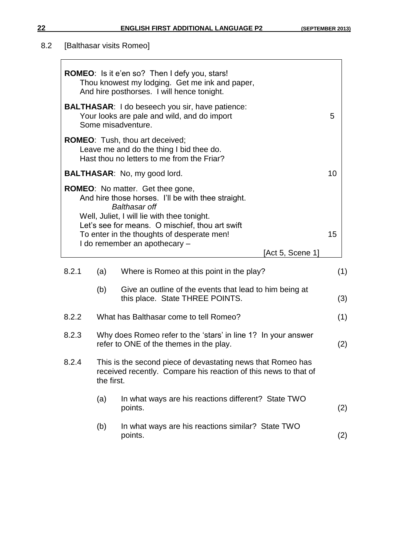# 8.2 [Balthasar visits Romeo]

|       |                                                                                                                             | <b>ROMEO:</b> Is it e'en so? Then I defy you, stars!<br>Thou knowest my lodging. Get me ink and paper,<br>And hire posthorses. I will hence tonight.                 |     |  |  |  |
|-------|-----------------------------------------------------------------------------------------------------------------------------|----------------------------------------------------------------------------------------------------------------------------------------------------------------------|-----|--|--|--|
|       | <b>BALTHASAR:</b> I do beseech you sir, have patience:<br>Your looks are pale and wild, and do import<br>Some misadventure. |                                                                                                                                                                      |     |  |  |  |
|       |                                                                                                                             | <b>ROMEO:</b> Tush, thou art deceived;<br>Leave me and do the thing I bid thee do.<br>Hast thou no letters to me from the Friar?                                     |     |  |  |  |
|       |                                                                                                                             | <b>BALTHASAR:</b> No, my good lord.                                                                                                                                  | 10  |  |  |  |
|       |                                                                                                                             | <b>ROMEO:</b> No matter. Get thee gone,<br>And hire those horses. I'll be with thee straight.<br><b>Balthasar off</b><br>Well, Juliet, I will lie with thee tonight. |     |  |  |  |
|       |                                                                                                                             | Let's see for means. O mischief, thou art swift<br>To enter in the thoughts of desperate men!                                                                        | 15  |  |  |  |
|       |                                                                                                                             | I do remember an apothecary -<br>[Act 5, Scene 1]                                                                                                                    |     |  |  |  |
|       |                                                                                                                             |                                                                                                                                                                      |     |  |  |  |
| 8.2.1 | (a)                                                                                                                         | Where is Romeo at this point in the play?                                                                                                                            | (1) |  |  |  |
|       | (b)                                                                                                                         | Give an outline of the events that lead to him being at<br>this place. State THREE POINTS.                                                                           | (3) |  |  |  |
| 8.2.2 |                                                                                                                             | What has Balthasar come to tell Romeo?                                                                                                                               | (1) |  |  |  |
| 8.2.3 |                                                                                                                             | Why does Romeo refer to the 'stars' in line 1? In your answer<br>refer to ONE of the themes in the play.                                                             | (2) |  |  |  |
| 8.2.4 | the first.                                                                                                                  | This is the second piece of devastating news that Romeo has<br>received recently. Compare his reaction of this news to that of                                       |     |  |  |  |
|       | (a)                                                                                                                         | In what ways are his reactions different? State TWO<br>points.                                                                                                       | (2) |  |  |  |
|       | (b)                                                                                                                         | In what ways are his reactions similar? State TWO<br>points.                                                                                                         | (2) |  |  |  |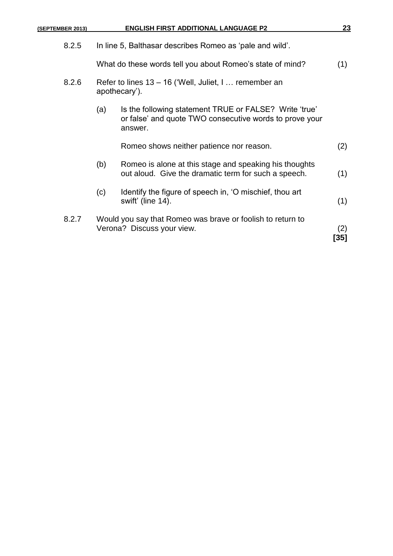| (SEPTEMBER 2013) |     | <b>ENGLISH FIRST ADDITIONAL LANGUAGE P2</b>                                                                                  | 23          |
|------------------|-----|------------------------------------------------------------------------------------------------------------------------------|-------------|
| 8.2.5            |     | In line 5, Balthasar describes Romeo as 'pale and wild'.                                                                     |             |
|                  |     | What do these words tell you about Romeo's state of mind?                                                                    | (1)         |
| 8.2.6            |     | Refer to lines 13 - 16 ('Well, Juliet, I  remember an<br>apothecary').                                                       |             |
|                  | (a) | Is the following statement TRUE or FALSE? Write 'true'<br>or false' and quote TWO consecutive words to prove your<br>answer. |             |
|                  |     | Romeo shows neither patience nor reason.                                                                                     | (2)         |
|                  | (b) | Romeo is alone at this stage and speaking his thoughts<br>out aloud. Give the dramatic term for such a speech.               | (1)         |
|                  | (c) | Identify the figure of speech in, 'O mischief, thou art<br>swift' (line 14).                                                 | (1)         |
| 8.2.7            |     | Would you say that Romeo was brave or foolish to return to<br>Verona? Discuss your view.                                     | (2)<br>[35] |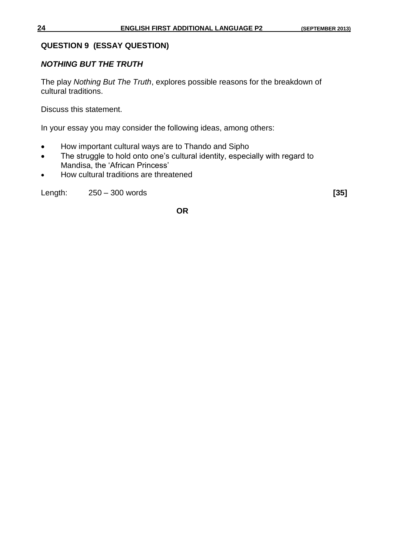#### **QUESTION 9 (ESSAY QUESTION)**

#### *NOTHING BUT THE TRUTH*

The play *Nothing But The Truth*, explores possible reasons for the breakdown of cultural traditions.

Discuss this statement.

In your essay you may consider the following ideas, among others:

- How important cultural ways are to Thando and Sipho
- The struggle to hold onto one's cultural identity, especially with regard to Mandisa, the 'African Princess'
- How cultural traditions are threatened

Length: 250 – 300 words **[35]**

**OR**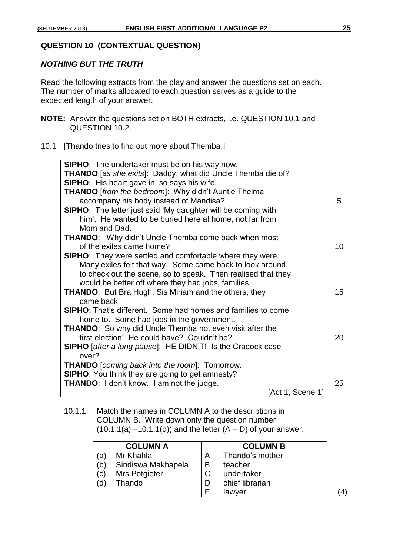#### **QUESTION 10 (CONTEXTUAL QUESTION)**

#### *NOTHING BUT THE TRUTH*

Read the following extracts from the play and answer the questions set on each. The number of marks allocated to each question serves as a guide to the expected length of your answer.

- **NOTE:** Answer the questions set on BOTH extracts, i.e. QUESTION 10.1 and QUESTION 10.2.
- 10.1 [Thando tries to find out more about Themba.]

| <b>SIPHO:</b> The undertaker must be on his way now.                       |    |  |  |
|----------------------------------------------------------------------------|----|--|--|
| <b>THANDO</b> [as she exits]: Daddy, what did Uncle Themba die of?         |    |  |  |
| <b>SIPHO:</b> His heart gave in, so says his wife.                         |    |  |  |
| <b>THANDO</b> [from the bedroom]: Why didn't Auntie Thelma                 |    |  |  |
| accompany his body instead of Mandisa?                                     | 5  |  |  |
| <b>SIPHO:</b> The letter just said 'My daughter will be coming with        |    |  |  |
| him'. He wanted to be buried here at home, not far from                    |    |  |  |
| Mom and Dad.                                                               |    |  |  |
| <b>THANDO:</b> Why didn't Uncle Themba come back when most                 |    |  |  |
| of the exiles came home?                                                   | 10 |  |  |
| SIPHO: They were settled and comfortable where they were.                  |    |  |  |
| Many exiles felt that way. Some came back to look around,                  |    |  |  |
| to check out the scene, so to speak. Then realised that they               |    |  |  |
| would be better off where they had jobs, families.                         |    |  |  |
| <b>THANDO:</b> But Bra Hugh, Sis Miriam and the others, they               | 15 |  |  |
| came back.                                                                 |    |  |  |
| <b>SIPHO:</b> That's different. Some had homes and families to come        |    |  |  |
| home to. Some had jobs in the government.                                  |    |  |  |
| <b>THANDO:</b> So why did Uncle Themba not even visit after the            |    |  |  |
| first election! He could have? Couldn't he?                                | 20 |  |  |
|                                                                            |    |  |  |
| <b>SIPHO</b> [after a long pause]: HE DIDN'T! Is the Cradock case<br>over? |    |  |  |
|                                                                            |    |  |  |
| <b>THANDO</b> [coming back into the room]: Tomorrow.                       |    |  |  |
| <b>SIPHO:</b> You think they are going to get amnesty?                     |    |  |  |
| <b>THANDO:</b> I don't know. I am not the judge.                           | 25 |  |  |
| [Act 1, Scene 1]                                                           |    |  |  |

10.1.1 Match the names in COLUMN A to the descriptions in COLUMN B. Write down only the question number  $(10.1.1(a) - 10.1.1(d))$  and the letter  $(A - D)$  of your answer.

|     | <b>COLUMN A</b>    |    | <b>COLUMN B</b> |  |
|-----|--------------------|----|-----------------|--|
| (a) | Mr Khahla          | Α  | Thando's mother |  |
| (b) | Sindiswa Makhapela | B  | teacher         |  |
| (c) | Mrs Potgieter      | C  | undertaker      |  |
| (d) | Thando             |    | chief librarian |  |
|     |                    | ⊢. | lawyer          |  |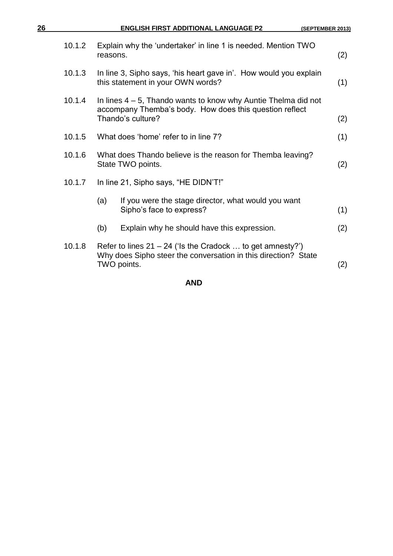| 26 |        | <b>ENGLISH FIRST ADDITIONAL LANGUAGE P2</b><br>(SEPTEMBER 2013)                                                                                   |     |
|----|--------|---------------------------------------------------------------------------------------------------------------------------------------------------|-----|
|    | 10.1.2 | Explain why the 'undertaker' in line 1 is needed. Mention TWO<br>reasons.                                                                         | (2) |
|    | 10.1.3 | In line 3, Sipho says, 'his heart gave in'. How would you explain<br>this statement in your OWN words?                                            | (1) |
|    | 10.1.4 | In lines $4 - 5$ , Thando wants to know why Auntie Thelma did not<br>accompany Themba's body. How does this question reflect<br>Thando's culture? | (2) |
|    | 10.1.5 | What does 'home' refer to in line 7?                                                                                                              | (1) |
|    | 10.1.6 | What does Thando believe is the reason for Themba leaving?<br>State TWO points.                                                                   | (2) |
|    | 10.1.7 | In line 21, Sipho says, "HE DIDN'T!"                                                                                                              |     |
|    |        | If you were the stage director, what would you want<br>(a)<br>Sipho's face to express?                                                            | (1) |
|    |        | (b)<br>Explain why he should have this expression.                                                                                                | (2) |
|    | 10.1.8 | Refer to lines $21 - 24$ ('Is the Cradock  to get amnesty?')<br>Why does Sipho steer the conversation in this direction? State<br>TWO points.     | (2) |
|    |        |                                                                                                                                                   |     |

**AND**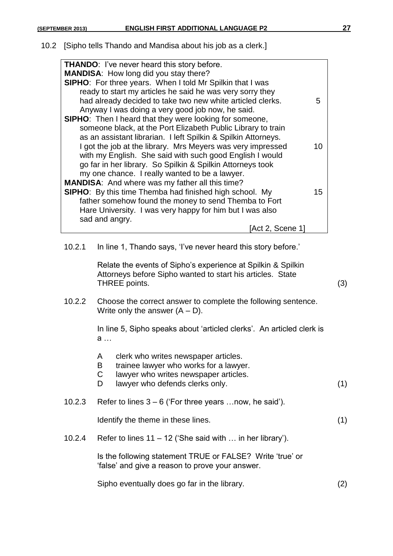#### 10.2 [Sipho tells Thando and Mandisa about his job as a clerk.]

| <b>THANDO:</b> I've never heard this story before.             |    |
|----------------------------------------------------------------|----|
| <b>MANDISA:</b> How long did you stay there?                   |    |
| SIPHO: For three years. When I told Mr Spilkin that I was      |    |
| ready to start my articles he said he was very sorry they      |    |
| had already decided to take two new white articled clerks.     | 5  |
| Anyway I was doing a very good job now, he said.               |    |
| <b>SIPHO:</b> Then I heard that they were looking for someone, |    |
| someone black, at the Port Elizabeth Public Library to train   |    |
| as an assistant librarian. I left Spilkin & Spilkin Attorneys. |    |
| I got the job at the library. Mrs Meyers was very impressed    |    |
| with my English. She said with such good English I would       |    |
| go far in her library. So Spilkin & Spilkin Attorneys took     |    |
| my one chance. I really wanted to be a lawyer.                 |    |
| <b>MANDISA:</b> And where was my father all this time?         |    |
| <b>SIPHO:</b> By this time Themba had finished high school. My | 15 |
| father somehow found the money to send Themba to Fort          |    |
| Hare University. I was very happy for him but I was also       |    |
| sad and angry.                                                 |    |
| [Act 2, Scene 1                                                |    |
|                                                                |    |

10.2.1 In line 1, Thando says, 'I've never heard this story before.'

Relate the events of Sipho's experience at Spilkin & Spilkin Attorneys before Sipho wanted to start his articles. State THREE points. (3)

10.2.2 Choose the correct answer to complete the following sentence. Write only the answer  $(A - D)$ .

> In line 5, Sipho speaks about 'articled clerks'. An articled clerk is a …

- A clerk who writes newspaper articles.
- B trainee lawyer who works for a lawyer.
- C lawyer who writes newspaper articles.
- D lawyer who defends clerks only. (1)

#### 10.2.3 Refer to lines 3 – 6 ('For three years …now, he said').

Identify the theme in these lines. (1)

10.2.4 Refer to lines 11 – 12 ('She said with … in her library').

Is the following statement TRUE or FALSE? Write 'true' or 'false' and give a reason to prove your answer.

Sipho eventually does go far in the library. (2)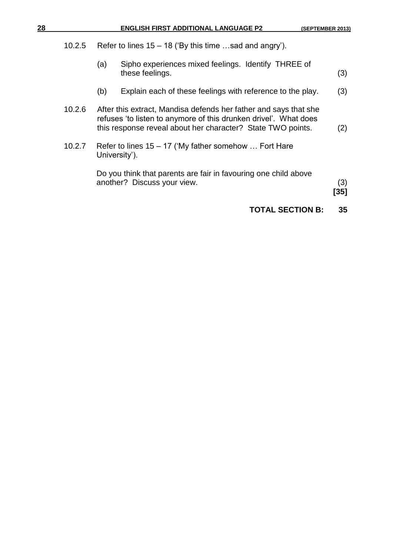|  |  |  |  |  | (SEPTEMBER 2013) |
|--|--|--|--|--|------------------|
|--|--|--|--|--|------------------|

| 28 | <b>ENGLISH FIRST ADDITIONAL LANGUAGE P2</b> | (SEPTEMBER 2013) |
|----|---------------------------------------------|------------------|
|    |                                             |                  |

- 10.2.5 Refer to lines 15 18 ('By this time …sad and angry').
	- (a) Sipho experiences mixed feelings. Identify THREE of these feelings. (3)
	- (b) Explain each of these feelings with reference to the play. (3)
- 10.2.6 After this extract, Mandisa defends her father and says that she refuses 'to listen to anymore of this drunken drivel'. What does this response reveal about her character? State TWO points. (2)
- 10.2.7 Refer to lines 15 17 ('My father somehow … Fort Hare University').

Do you think that parents are fair in favouring one child above another? Discuss your view. (3)

**[35]**

#### **TOTAL SECTION B: 35**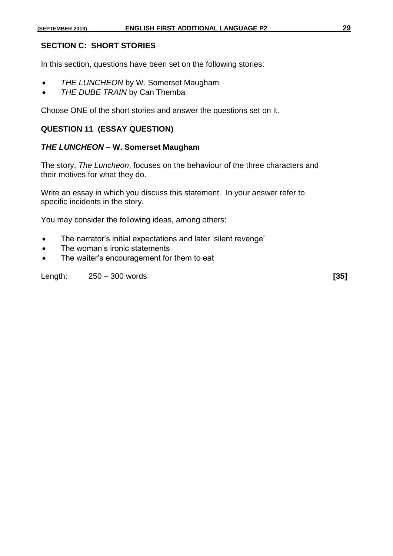#### **SECTION C: SHORT STORIES**

In this section, questions have been set on the following stories:

- *THE LUNCHEON* by W. Somerset Maugham
- *THE DUBE TRAIN* by Can Themba

Choose ONE of the short stories and answer the questions set on it.

#### **QUESTION 11 (ESSAY QUESTION)**

#### *THE LUNCHEON –* **W. Somerset Maugham**

The story, *The Luncheon*, focuses on the behaviour of the three characters and their motives for what they do.

Write an essay in which you discuss this statement. In your answer refer to specific incidents in the story.

You may consider the following ideas, among others:

- The narrator's initial expectations and later 'silent revenge'
- The woman's ironic statements
- The waiter's encouragement for them to eat

Length: 250 – 300 words **[35]**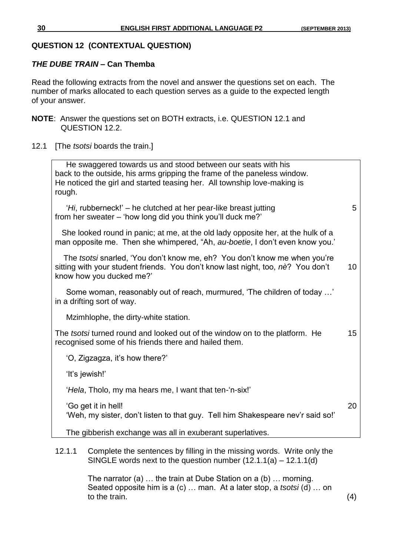#### **QUESTION 12 (CONTEXTUAL QUESTION)**

#### *THE DUBE TRAIN –* **Can Themba**

Read the following extracts from the novel and answer the questions set on each. The number of marks allocated to each question serves as a guide to the expected length of your answer.

- **NOTE**: Answer the questions set on BOTH extracts, i.e. QUESTION 12.1 and QUESTION 12.2.
- 12.1 [The *tsotsi* boards the train.]

 He swaggered towards us and stood between our seats with his back to the outside, his arms gripping the frame of the paneless window. He noticed the girl and started teasing her. All township love-making is rough. '*Hi*, rubberneck!' – he clutched at her pear-like breast jutting 5 from her sweater – 'how long did you think you'll duck me?' She looked round in panic; at me, at the old lady opposite her, at the hulk of a man opposite me. Then she whimpered, "Ah, *au-boetie*, I don't even know you.' The *tsotsi* snarled, 'You don't know me, eh? You don't know me when you're sitting with your student friends. You don't know last night, too, *nè*? You don't 10 know how you ducked me?' Some woman, reasonably out of reach, murmured, 'The children of today …' in a drifting sort of way. Mzimhlophe, the dirty-white station. The *tsotsi* turned round and looked out of the window on to the platform. He 15 recognised some of his friends there and hailed them. 'O, Zigzagza, it's how there?' 'It's jewish!' '*Hela*, Tholo, my ma hears me, I want that ten-'n-six!' 'Go get it in hell! 20 'Weh, my sister, don't listen to that guy. Tell him Shakespeare nev'r said so!' The gibberish exchange was all in exuberant superlatives. 12.1.1 Complete the sentences by filling in the missing words. Write only the SINGLE words next to the question number (12.1.1(a) – 12.1.1(d)

> The narrator (a) … the train at Dube Station on a (b) … morning. Seated opposite him is a (c) … man. At a later stop, a *tsotsi* (d) … on to the train.  $(4)$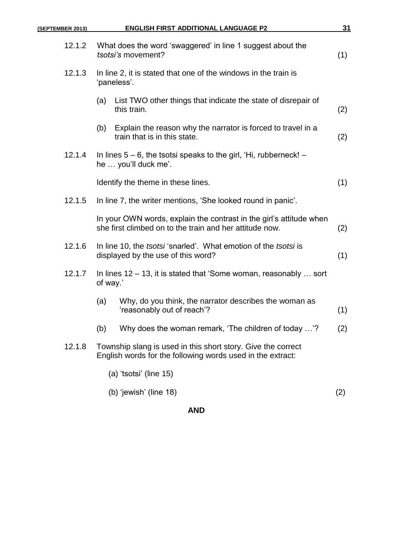| (SEPTEMBER 2013) | <b>ENGLISH FIRST ADDITIONAL LANGUAGE P2</b>                                                                                    | 31  |
|------------------|--------------------------------------------------------------------------------------------------------------------------------|-----|
| 12.1.2           | What does the word 'swaggered' in line 1 suggest about the<br>tsotsi's movement?                                               | (1) |
| 12.1.3           | In line 2, it is stated that one of the windows in the train is<br>'paneless'.                                                 |     |
|                  | List TWO other things that indicate the state of disrepair of<br>(a)<br>this train.                                            | (2) |
|                  | Explain the reason why the narrator is forced to travel in a<br>(b)<br>train that is in this state.                            | (2) |
| 12.1.4           | In lines $5 - 6$ , the tsotsi speaks to the girl, 'Hi, rubberneck! $-$<br>he  you'll duck me'.                                 |     |
|                  | Identify the theme in these lines.                                                                                             | (1) |
| 12.1.5           | In line 7, the writer mentions, 'She looked round in panic'.                                                                   |     |
|                  | In your OWN words, explain the contrast in the girl's attitude when<br>she first climbed on to the train and her attitude now. | (2) |
| 12.1.6           | In line 10, the <i>tsotsi</i> 'snarled'. What emotion of the <i>tsotsi</i> is<br>displayed by the use of this word?            | (1) |
| 12.1.7           | In lines $12 - 13$ , it is stated that 'Some woman, reasonably  sort<br>of way.'                                               |     |
|                  | Why, do you think, the narrator describes the woman as<br>(a)<br>'reasonably out of reach'?                                    | (1) |
|                  | Why does the woman remark, 'The children of today '?<br>(b)                                                                    | (2) |
| 12.1.8           | Township slang is used in this short story. Give the correct<br>English words for the following words used in the extract:     |     |
|                  | (a) 'tsotsi' (line 15)                                                                                                         |     |
|                  | (b) 'jewish' (line 18)                                                                                                         | (2) |

### **AND**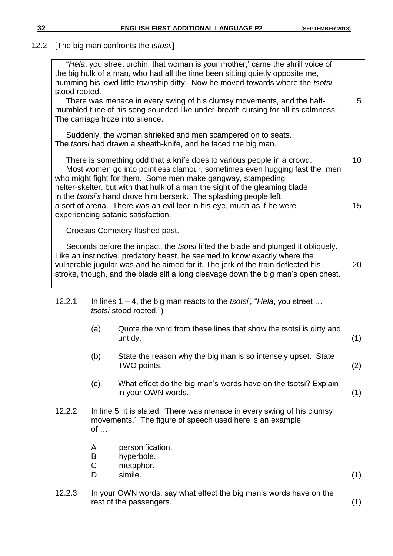#### 12.2 [The big man confronts the *tstosi.*]

| stood rooted. |                  | "Hela, you street urchin, that woman is your mother,' came the shrill voice of<br>the big hulk of a man, who had all the time been sitting quietly opposite me,<br>humming his lewd little township ditty. Now he moved towards where the tsotsi                                                                                                                              |     |
|---------------|------------------|-------------------------------------------------------------------------------------------------------------------------------------------------------------------------------------------------------------------------------------------------------------------------------------------------------------------------------------------------------------------------------|-----|
|               |                  | There was menace in every swing of his clumsy movements, and the half-<br>mumbled tune of his song sounded like under-breath cursing for all its calmness.<br>The carriage froze into silence.                                                                                                                                                                                | 5   |
|               |                  | Suddenly, the woman shrieked and men scampered on to seats.<br>The tsotsi had drawn a sheath-knife, and he faced the big man.                                                                                                                                                                                                                                                 |     |
|               |                  | There is something odd that a knife does to various people in a crowd.<br>Most women go into pointless clamour, sometimes even hugging fast the men<br>who might fight for them. Some men make gangway, stampeding<br>helter-skelter, but with that hulk of a man the sight of the gleaming blade<br>in the <i>tsotsi's</i> hand drove him berserk. The splashing people left | 10  |
|               |                  | a sort of arena. There was an evil leer in his eye, much as if he were<br>experiencing satanic satisfaction.                                                                                                                                                                                                                                                                  | 15  |
|               |                  | Croesus Cemetery flashed past.                                                                                                                                                                                                                                                                                                                                                |     |
|               |                  | Seconds before the impact, the <i>tsotsi</i> lifted the blade and plunged it obliquely.<br>Like an instinctive, predatory beast, he seemed to know exactly where the<br>vulnerable jugular was and he aimed for it. The jerk of the train deflected his<br>stroke, though, and the blade slit a long cleavage down the big man's open chest.                                  | 20  |
| 12.2.1        |                  | In lines $1 - 4$ , the big man reacts to the <i>tsotsi'</i> , " <i>Hela</i> , you street<br><i>tsotsi</i> stood rooted.")                                                                                                                                                                                                                                                     |     |
|               | (a)              | Quote the word from these lines that show the tsotsi is dirty and<br>untidy.                                                                                                                                                                                                                                                                                                  | (1) |
|               | (b)              | State the reason why the big man is so intensely upset. State<br>TWO points.                                                                                                                                                                                                                                                                                                  | (2) |
|               | (c)              | What effect do the big man's words have on the tsotsi? Explain<br>in your OWN words.                                                                                                                                                                                                                                                                                          | (1) |
| 12.2.2        | $of \dots$       | In line 5, it is stated, 'There was menace in every swing of his clumsy<br>movements.' The figure of speech used here is an example                                                                                                                                                                                                                                           |     |
|               | A<br>B<br>C<br>D | personification.<br>hyperbole.<br>metaphor.<br>simile.                                                                                                                                                                                                                                                                                                                        | (1) |
| 12.2.3        |                  | In your OWN words, say what effect the big man's words have on the<br>rest of the passengers.                                                                                                                                                                                                                                                                                 | (1) |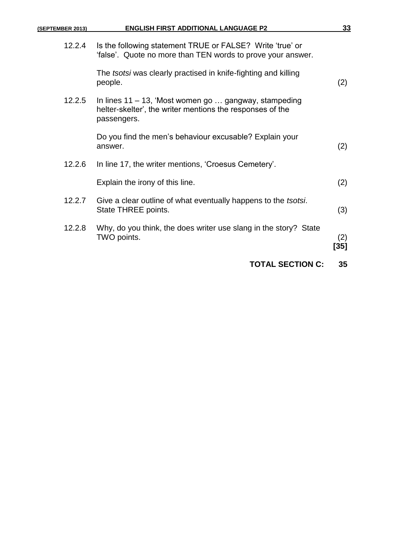| <u>33</u>   | <b>ENGLISH FIRST ADDITIONAL LANGUAGE P2</b>                                                                                       | (SEPTEMBER 2013) |
|-------------|-----------------------------------------------------------------------------------------------------------------------------------|------------------|
|             | Is the following statement TRUE or FALSE? Write 'true' or<br>'false'. Quote no more than TEN words to prove your answer.          | 12.2.4           |
| (2)         | The tsotsi was clearly practised in knife-fighting and killing<br>people.                                                         |                  |
|             | In lines 11 – 13, 'Most women go  gangway, stampeding<br>helter-skelter', the writer mentions the responses of the<br>passengers. | 12.2.5           |
| (2)         | Do you find the men's behaviour excusable? Explain your<br>answer.                                                                |                  |
|             | In line 17, the writer mentions, 'Croesus Cemetery'.                                                                              | 12.2.6           |
| (2)         | Explain the irony of this line.                                                                                                   |                  |
| (3)         | Give a clear outline of what eventually happens to the tsotsi.<br>State THREE points.                                             | 12.2.7           |
| (2)<br>[35] | Why, do you think, the does writer use slang in the story? State<br>TWO points.                                                   | 12.2.8           |
| 35          | <b>TOTAL SECTION C:</b>                                                                                                           |                  |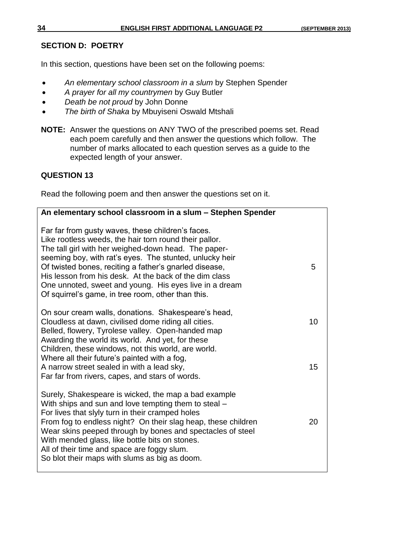#### **SECTION D: POETRY**

In this section, questions have been set on the following poems:

- *An elementary school classroom in a slum* by Stephen Spender
- *A prayer for all my countrymen* by Guy Butler
- *Death be not proud* by John Donne
- *The birth of Shaka* by Mbuyiseni Oswald Mtshali
- **NOTE:** Answer the questions on ANY TWO of the prescribed poems set. Read each poem carefully and then answer the questions which follow. The number of marks allocated to each question serves as a guide to the expected length of your answer.

#### **QUESTION 13**

Read the following poem and then answer the questions set on it.

| An elementary school classroom in a slum - Stephen Spender                                                                                                                                                                                                                                                                                                                                                                                                         |          |
|--------------------------------------------------------------------------------------------------------------------------------------------------------------------------------------------------------------------------------------------------------------------------------------------------------------------------------------------------------------------------------------------------------------------------------------------------------------------|----------|
| Far far from gusty waves, these children's faces.<br>Like rootless weeds, the hair torn round their pallor.<br>The tall girl with her weighed-down head. The paper-<br>seeming boy, with rat's eyes. The stunted, unlucky heir<br>Of twisted bones, reciting a father's gnarled disease,<br>His lesson from his desk. At the back of the dim class<br>One unnoted, sweet and young. His eyes live in a dream<br>Of squirrel's game, in tree room, other than this. | 5        |
| On sour cream walls, donations. Shakespeare's head,<br>Cloudless at dawn, civilised dome riding all cities.<br>Belled, flowery, Tyrolese valley. Open-handed map<br>Awarding the world its world. And yet, for these<br>Children, these windows, not this world, are world.<br>Where all their future's painted with a fog,<br>A narrow street sealed in with a lead sky,<br>Far far from rivers, capes, and stars of words.                                       | 10<br>15 |
| Surely, Shakespeare is wicked, the map a bad example<br>With ships and sun and love tempting them to steal -<br>For lives that slyly turn in their cramped holes<br>From fog to endless night? On their slag heap, these children<br>Wear skins peeped through by bones and spectacles of steel<br>With mended glass, like bottle bits on stones.<br>All of their time and space are foggy slum.<br>So blot their maps with slums as big as doom.                  | 20       |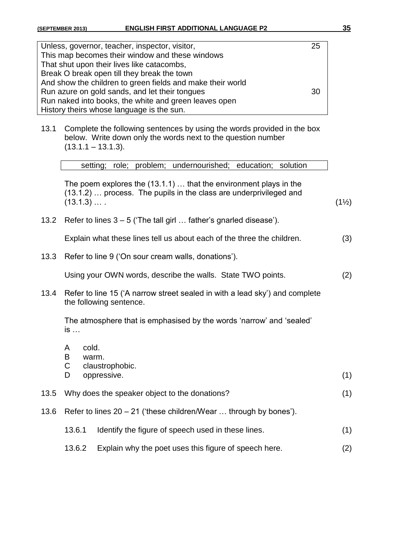| Unless, governor, teacher, inspector, visitor,             | 25 |
|------------------------------------------------------------|----|
| This map becomes their window and these windows            |    |
| That shut upon their lives like catacombs,                 |    |
| Break O break open till they break the town                |    |
| And show the children to green fields and make their world |    |
| Run azure on gold sands, and let their tongues             | 30 |
| Run naked into books, the white and green leaves open      |    |
| History theirs whose language is the sun.                  |    |

13.1 Complete the following sentences by using the words provided in the box below. Write down only the words next to the question number  $(13.1.1 - 13.1.3)$ .

setting; role; problem; undernourished; education; solution

The poem explores the (13.1.1) … that the environment plays in the (13.1.2) … process. The pupils in the class are underprivileged and  $(13.1.3)$  … . (1½)

13.2 Refer to lines 3 – 5 ('The tall girl … father's gnarled disease').

Explain what these lines tell us about each of the three the children. (3)

13.3 Refer to line 9 ('On sour cream walls, donations').

Using your OWN words, describe the walls. State TWO points. (2)

13.4 Refer to line 15 ('A narrow street sealed in with a lead sky') and complete the following sentence.

The atmosphere that is emphasised by the words 'narrow' and 'sealed' is …

- A cold.
- B warm.
- C claustrophobic.
- D oppressive. (1)
- 13.5 Why does the speaker object to the donations? (1)
- 13.6 Refer to lines 20 21 ('these children/Wear … through by bones').
	- 13.6.1 Identify the figure of speech used in these lines. (1)
	- 13.6.2 Explain why the poet uses this figure of speech here. (2)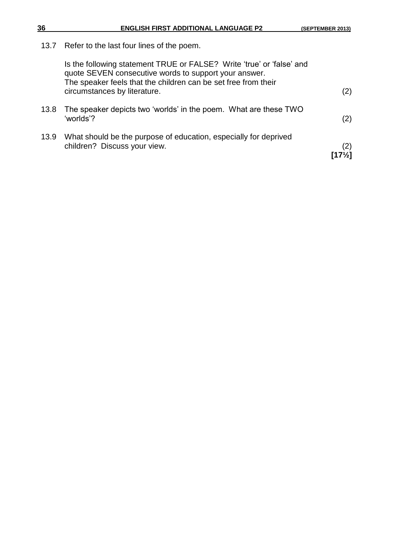13.7 Refer to the last four lines of the poem.

|      | Is the following statement TRUE or FALSE? Write 'true' or 'false' and<br>quote SEVEN consecutive words to support your answer.<br>The speaker feels that the children can be set free from their<br>circumstances by literature. | (2)                      |
|------|----------------------------------------------------------------------------------------------------------------------------------------------------------------------------------------------------------------------------------|--------------------------|
| 13.8 | The speaker depicts two 'worlds' in the poem. What are these TWO<br>'worlds'?                                                                                                                                                    | (2)                      |
| 13.9 | What should be the purpose of education, especially for deprived<br>children? Discuss your view.                                                                                                                                 | (2)<br>$[17\frac{1}{2}]$ |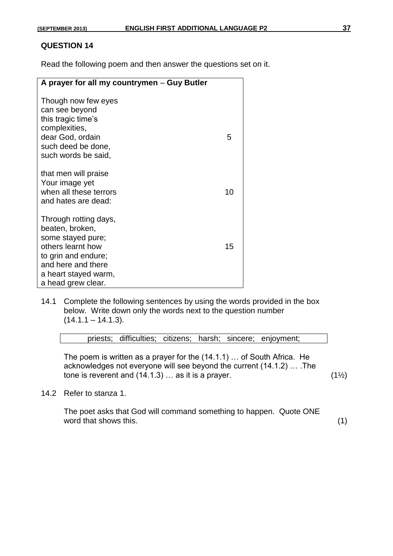#### **QUESTION 14**

Read the following poem and then answer the questions set on it.

| A prayer for all my countrymen – Guy Butler                                                                                                                                   |    |
|-------------------------------------------------------------------------------------------------------------------------------------------------------------------------------|----|
| Though now few eyes<br>can see beyond<br>this tragic time's<br>complexities,<br>dear God, ordain<br>such deed be done,<br>such words be said,                                 | 5  |
| that men will praise<br>Your image yet<br>when all these terrors<br>and hates are dead:                                                                                       | 10 |
| Through rotting days,<br>beaten, broken,<br>some stayed pure;<br>others learnt how<br>to grin and endure;<br>and here and there<br>a heart stayed warm,<br>a head grew clear. | 15 |

14.1 Complete the following sentences by using the words provided in the box below. Write down only the words next to the question number  $(14.1.1 - 14.1.3)$ .

priests; difficulties; citizens; harsh; sincere; enjoyment;

The poem is written as a prayer for the (14.1.1) … of South Africa. He acknowledges not everyone will see beyond the current (14.1.2) … .The tone is reverent and  $(14.1.3)$  ... as it is a prayer.  $(1\frac{1}{2})$ 

14.2 Refer to stanza 1.

The poet asks that God will command something to happen. Quote ONE word that shows this. (1)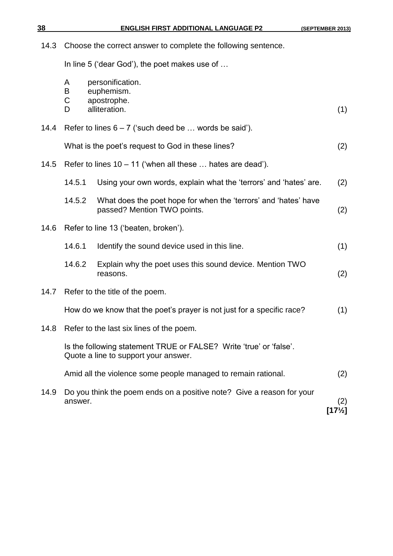| <u>38</u> | <b>ENGLISH FIRST ADDITIONAL LANGUAGE P2</b>                                                                | (SEPTEMBER 2013)         |  |
|-----------|------------------------------------------------------------------------------------------------------------|--------------------------|--|
| 14.3      | Choose the correct answer to complete the following sentence.                                              |                          |  |
|           | In line 5 ('dear God'), the poet makes use of                                                              |                          |  |
|           | A<br>personification.<br>euphemism.<br>B<br>C<br>apostrophe.<br>alliteration.<br>D                         | (1)                      |  |
| 14.4      | Refer to lines $6 - 7$ ('such deed be  words be said').                                                    |                          |  |
|           | What is the poet's request to God in these lines?                                                          | (2)                      |  |
| 14.5      | Refer to lines $10 - 11$ ('when all these  hates are dead').                                               |                          |  |
|           | 14.5.1<br>Using your own words, explain what the 'terrors' and 'hates' are.                                | (2)                      |  |
|           | 14.5.2<br>What does the poet hope for when the 'terrors' and 'hates' have<br>passed? Mention TWO points.   | (2)                      |  |
| 14.6      | Refer to line 13 ('beaten, broken').                                                                       |                          |  |
|           | 14.6.1<br>Identify the sound device used in this line.                                                     | (1)                      |  |
|           | 14.6.2<br>Explain why the poet uses this sound device. Mention TWO<br>reasons.                             | (2)                      |  |
| 14.7      | Refer to the title of the poem.                                                                            |                          |  |
|           | How do we know that the poet's prayer is not just for a specific race?                                     | (1)                      |  |
| 14.8      | Refer to the last six lines of the poem.                                                                   |                          |  |
|           | Is the following statement TRUE or FALSE? Write 'true' or 'false'.<br>Quote a line to support your answer. |                          |  |
|           | Amid all the violence some people managed to remain rational.                                              | (2)                      |  |
| 14.9      | Do you think the poem ends on a positive note? Give a reason for your<br>answer.                           | (2)<br>$[17\frac{1}{2}]$ |  |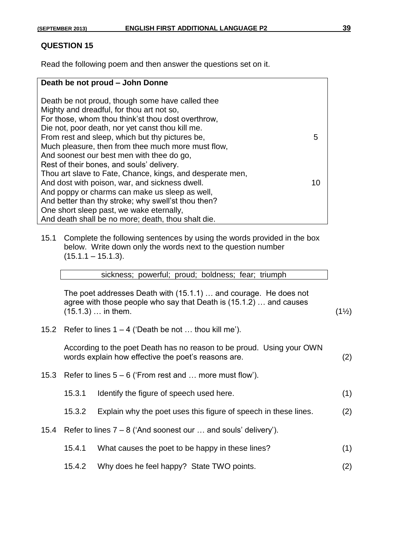#### **QUESTION 15**

Read the following poem and then answer the questions set on it.

#### **Death be not proud – John Donne** Death be not proud, though some have called thee Mighty and dreadful, for thou art not so, For those, whom thou think'st thou dost overthrow, Die not, poor death, nor yet canst thou kill me. From rest and sleep, which but thy pictures be, 5 Much pleasure, then from thee much more must flow, And soonest our best men with thee do go, Rest of their bones, and souls' delivery. Thou art slave to Fate, Chance, kings, and desperate men, And dost with poison, war, and sickness dwell. The matrix of the state of the state of the state of the state of the state of the state of the state of the state of the state of the state of the state of the state of the s And poppy or charms can make us sleep as well, And better than thy stroke; why swell'st thou then? One short sleep past, we wake eternally, And death shall be no more; death, thou shalt die.

15.1 Complete the following sentences by using the words provided in the box below. Write down only the words next to the question number  $(15.1.1 - 15.1.3)$ .

| sickness; powerful; proud; boldness; fear; triumph |  |  |  |  |  |  |
|----------------------------------------------------|--|--|--|--|--|--|
|----------------------------------------------------|--|--|--|--|--|--|

The poet addresses Death with (15.1.1) … and courage. He does not agree with those people who say that Death is (15.1.2) … and causes  $(15.1.3)$  … in them. (1<sup>1</sup>/<sub>2</sub>)

15.2 Refer to lines  $1 - 4$  ('Death be not ... thou kill me').

According to the poet Death has no reason to be proud. Using your OWN words explain how effective the poet's reasons are. (2)

- 15.3 Refer to lines 5 6 ('From rest and … more must flow').
	- 15.3.1 Identify the figure of speech used here. (1)
	- 15.3.2 Explain why the poet uses this figure of speech in these lines. (2)
- 15.4 Refer to lines 7 8 ('And soonest our … and souls' delivery').
	- 15.4.1 What causes the poet to be happy in these lines? (1)
	- 15.4.2 Why does he feel happy? State TWO points. (2)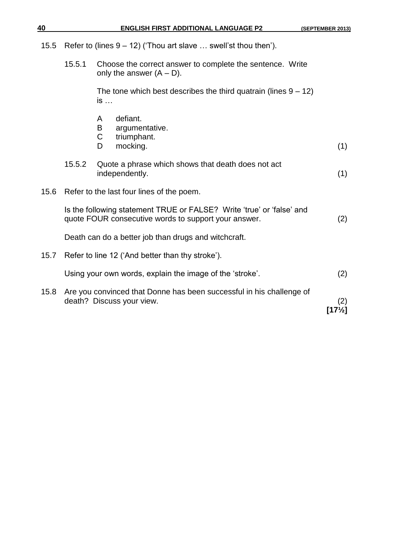| 40   |        | <b>ENGLISH FIRST ADDITIONAL LANGUAGE P2</b>                                                                                   | (SEPTEMBER 2013) |
|------|--------|-------------------------------------------------------------------------------------------------------------------------------|------------------|
| 15.5 |        | Refer to (lines $9 - 12$ ) ('Thou art slave  swell'st thou then').                                                            |                  |
|      | 15.5.1 | Choose the correct answer to complete the sentence. Write<br>only the answer $(A - D)$ .                                      |                  |
|      |        | The tone which best describes the third quatrain (lines $9 - 12$ )<br>is                                                      |                  |
|      |        | defiant.<br>A<br>argumentative.<br>B<br>$\mathsf C$                                                                           |                  |
|      |        | triumphant.<br>mocking.<br>D                                                                                                  | (1)              |
|      | 15.5.2 | Quote a phrase which shows that death does not act<br>independently.                                                          | (1)              |
| 15.6 |        | Refer to the last four lines of the poem.                                                                                     |                  |
|      |        | Is the following statement TRUE or FALSE? Write 'true' or 'false' and<br>quote FOUR consecutive words to support your answer. | (2)              |
|      |        | Death can do a better job than drugs and witchcraft.                                                                          |                  |
| 15.7 |        | Refer to line 12 ('And better than thy stroke').                                                                              |                  |
|      |        | Using your own words, explain the image of the 'stroke'.                                                                      | (2)              |
| 15.8 |        | Are you convinced that Donne has been successful in his challenge of<br>death? Discuss your view.                             | (2)<br>[17½]     |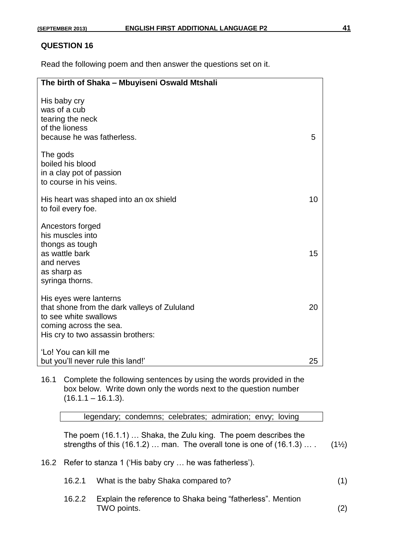#### **QUESTION 16**

Read the following poem and then answer the questions set on it.

| The birth of Shaka - Mbuyiseni Oswald Mtshali                                                                                                                  |    |
|----------------------------------------------------------------------------------------------------------------------------------------------------------------|----|
| His baby cry<br>was of a cub<br>tearing the neck<br>of the lioness<br>because he was fatherless.                                                               | 5  |
| The gods<br>boiled his blood<br>in a clay pot of passion<br>to course in his veins.                                                                            |    |
| His heart was shaped into an ox shield<br>to foil every foe.                                                                                                   | 10 |
| Ancestors forged<br>his muscles into<br>thongs as tough<br>as wattle bark<br>and nerves<br>as sharp as<br>syringa thorns.                                      | 15 |
| His eyes were lanterns<br>that shone from the dark valleys of Zululand<br>to see white swallows<br>coming across the sea.<br>His cry to two assassin brothers: | 20 |
| 'Lo! You can kill me<br>but you'll never rule this land!'                                                                                                      | 25 |

16.1 Complete the following sentences by using the words provided in the box below. Write down only the words next to the question number  $(16.1.1 - 16.1.3)$ .

legendary; condemns; celebrates; admiration; envy; loving

The poem (16.1.1) … Shaka, the Zulu king. The poem describes the strengths of this  $(16.1.2)$  ... man. The overall tone is one of  $(16.1.3)$  ...  $(1\frac{1}{2})$ 

16.2 Refer to stanza 1 ('His baby cry … he was fatherless').

| 16.2.1 What is the baby Shaka compared to? |  |
|--------------------------------------------|--|
|                                            |  |

16.2.2 Explain the reference to Shaka being "fatherless". Mention TWO points. (2)